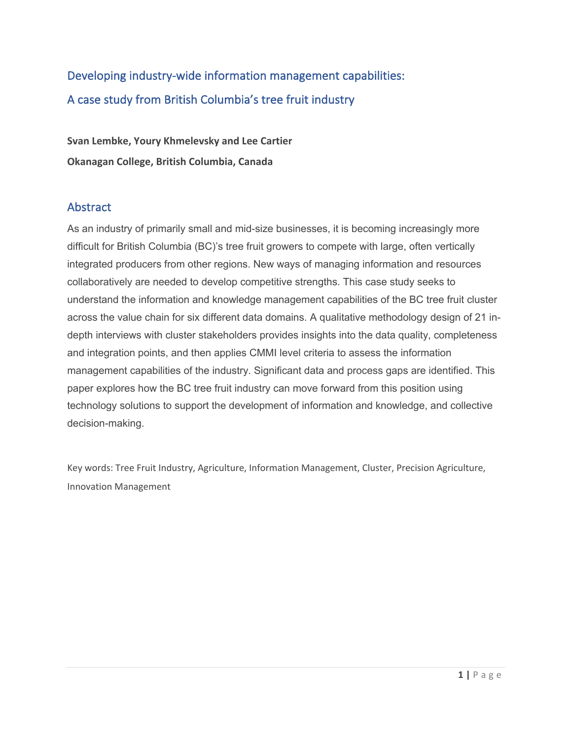# Developing industry-wide information management capabilities: A case study from British Columbia's tree fruit industry

**Svan Lembke, Youry Khmelevsky and Lee Cartier Okanagan College, British Columbia, Canada**

# Abstract

As an industry of primarily small and mid-size businesses, it is becoming increasingly more difficult for British Columbia (BC)'s tree fruit growers to compete with large, often vertically integrated producers from other regions. New ways of managing information and resources collaboratively are needed to develop competitive strengths. This case study seeks to understand the information and knowledge management capabilities of the BC tree fruit cluster across the value chain for six different data domains. A qualitative methodology design of 21 indepth interviews with cluster stakeholders provides insights into the data quality, completeness and integration points, and then applies CMMI level criteria to assess the information management capabilities of the industry. Significant data and process gaps are identified. This paper explores how the BC tree fruit industry can move forward from this position using technology solutions to support the development of information and knowledge, and collective decision-making.

Key words: Tree Fruit Industry, Agriculture, Information Management, Cluster, Precision Agriculture, Innovation Management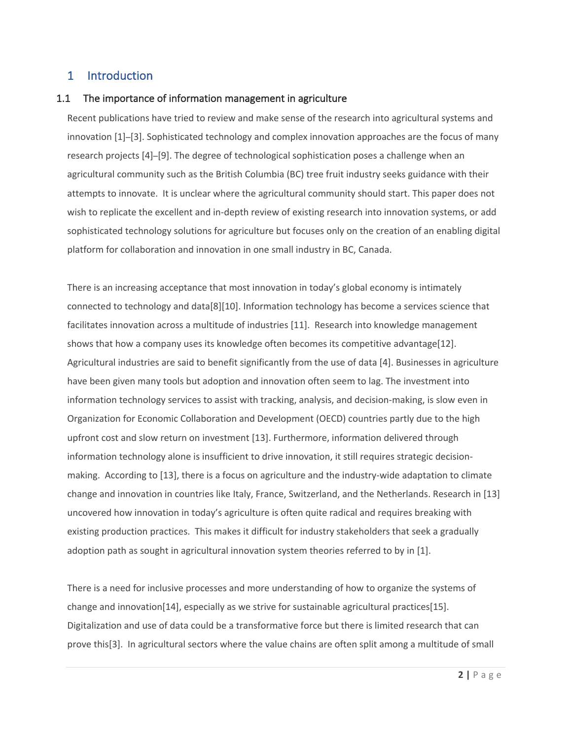## 1 Introduction

#### 1.1 The importance of information management in agriculture

Recent publications have tried to review and make sense of the research into agricultural systems and innovation [1]–[3]. Sophisticated technology and complex innovation approaches are the focus of many research projects [4]–[9]. The degree of technological sophistication poses a challenge when an agricultural community such as the British Columbia (BC) tree fruit industry seeks guidance with their attempts to innovate. It is unclear where the agricultural community should start. This paper does not wish to replicate the excellent and in-depth review of existing research into innovation systems, or add sophisticated technology solutions for agriculture but focuses only on the creation of an enabling digital platform for collaboration and innovation in one small industry in BC, Canada.

There is an increasing acceptance that most innovation in today's global economy is intimately connected to technology and data[8][10]. Information technology has become a services science that facilitates innovation across a multitude of industries [11]. Research into knowledge management shows that how a company uses its knowledge often becomes its competitive advantage[12]. Agricultural industries are said to benefit significantly from the use of data [4]. Businesses in agriculture have been given many tools but adoption and innovation often seem to lag. The investment into information technology services to assist with tracking, analysis, and decision-making, is slow even in Organization for Economic Collaboration and Development (OECD) countries partly due to the high upfront cost and slow return on investment [13]. Furthermore, information delivered through information technology alone is insufficient to drive innovation, it still requires strategic decisionmaking. According to [13], there is a focus on agriculture and the industry-wide adaptation to climate change and innovation in countries like Italy, France, Switzerland, and the Netherlands. Research in [13] uncovered how innovation in today's agriculture is often quite radical and requires breaking with existing production practices. This makes it difficult for industry stakeholders that seek a gradually adoption path as sought in agricultural innovation system theories referred to by in [1].

There is a need for inclusive processes and more understanding of how to organize the systems of change and innovation[14], especially as we strive for sustainable agricultural practices[15]. Digitalization and use of data could be a transformative force but there is limited research that can prove this[3]. In agricultural sectors where the value chains are often split among a multitude of small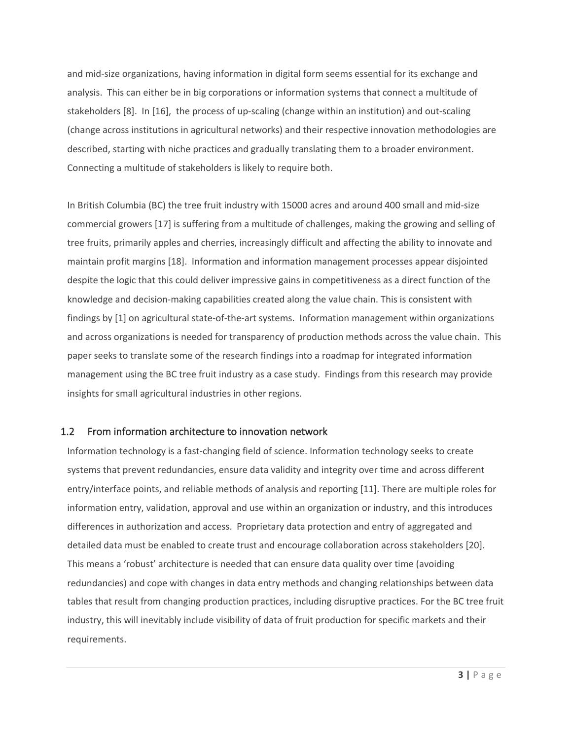and mid-size organizations, having information in digital form seems essential for its exchange and analysis. This can either be in big corporations or information systems that connect a multitude of stakeholders [8]. In [16], the process of up-scaling (change within an institution) and out-scaling (change across institutions in agricultural networks) and their respective innovation methodologies are described, starting with niche practices and gradually translating them to a broader environment. Connecting a multitude of stakeholders is likely to require both.

In British Columbia (BC) the tree fruit industry with 15000 acres and around 400 small and mid-size commercial growers [17] is suffering from a multitude of challenges, making the growing and selling of tree fruits, primarily apples and cherries, increasingly difficult and affecting the ability to innovate and maintain profit margins [18]. Information and information management processes appear disjointed despite the logic that this could deliver impressive gains in competitiveness as a direct function of the knowledge and decision-making capabilities created along the value chain. This is consistent with findings by [1] on agricultural state-of-the-art systems. Information management within organizations and across organizations is needed for transparency of production methods across the value chain. This paper seeks to translate some of the research findings into a roadmap for integrated information management using the BC tree fruit industry as a case study. Findings from this research may provide insights for small agricultural industries in other regions.

#### 1.2 From information architecture to innovation network

Information technology is a fast-changing field of science. Information technology seeks to create systems that prevent redundancies, ensure data validity and integrity over time and across different entry/interface points, and reliable methods of analysis and reporting [11]. There are multiple roles for information entry, validation, approval and use within an organization or industry, and this introduces differences in authorization and access. Proprietary data protection and entry of aggregated and detailed data must be enabled to create trust and encourage collaboration across stakeholders [20]. This means a 'robust' architecture is needed that can ensure data quality over time (avoiding redundancies) and cope with changes in data entry methods and changing relationships between data tables that result from changing production practices, including disruptive practices. For the BC tree fruit industry, this will inevitably include visibility of data of fruit production for specific markets and their requirements.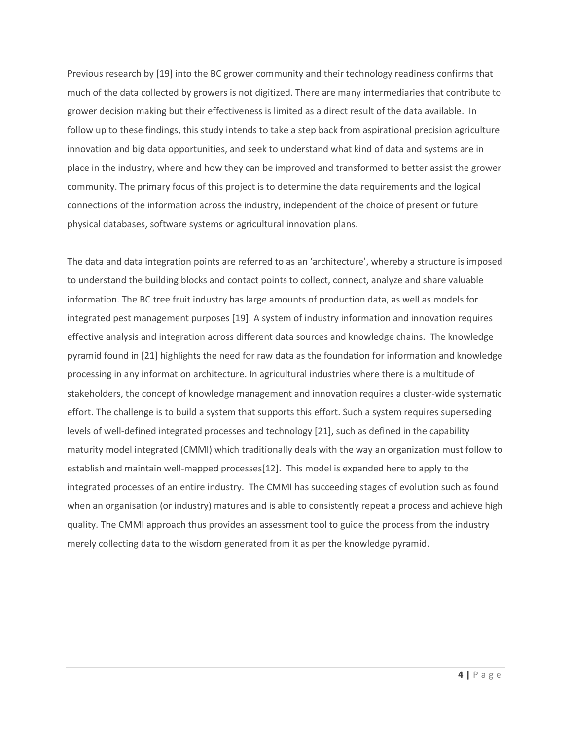Previous research by [19] into the BC grower community and their technology readiness confirms that much of the data collected by growers is not digitized. There are many intermediaries that contribute to grower decision making but their effectiveness is limited as a direct result of the data available. In follow up to these findings, this study intends to take a step back from aspirational precision agriculture innovation and big data opportunities, and seek to understand what kind of data and systems are in place in the industry, where and how they can be improved and transformed to better assist the grower community. The primary focus of this project is to determine the data requirements and the logical connections of the information across the industry, independent of the choice of present or future physical databases, software systems or agricultural innovation plans.

The data and data integration points are referred to as an 'architecture', whereby a structure is imposed to understand the building blocks and contact points to collect, connect, analyze and share valuable information. The BC tree fruit industry has large amounts of production data, as well as models for integrated pest management purposes [19]. A system of industry information and innovation requires effective analysis and integration across different data sources and knowledge chains. The knowledge pyramid found in [21] highlights the need for raw data as the foundation for information and knowledge processing in any information architecture. In agricultural industries where there is a multitude of stakeholders, the concept of knowledge management and innovation requires a cluster-wide systematic effort. The challenge is to build a system that supports this effort. Such a system requires superseding levels of well-defined integrated processes and technology [21], such as defined in the capability maturity model integrated (CMMI) which traditionally deals with the way an organization must follow to establish and maintain well-mapped processes[12]. This model is expanded here to apply to the integrated processes of an entire industry. The CMMI has succeeding stages of evolution such as found when an organisation (or industry) matures and is able to consistently repeat a process and achieve high quality. The CMMI approach thus provides an assessment tool to guide the process from the industry merely collecting data to the wisdom generated from it as per the knowledge pyramid.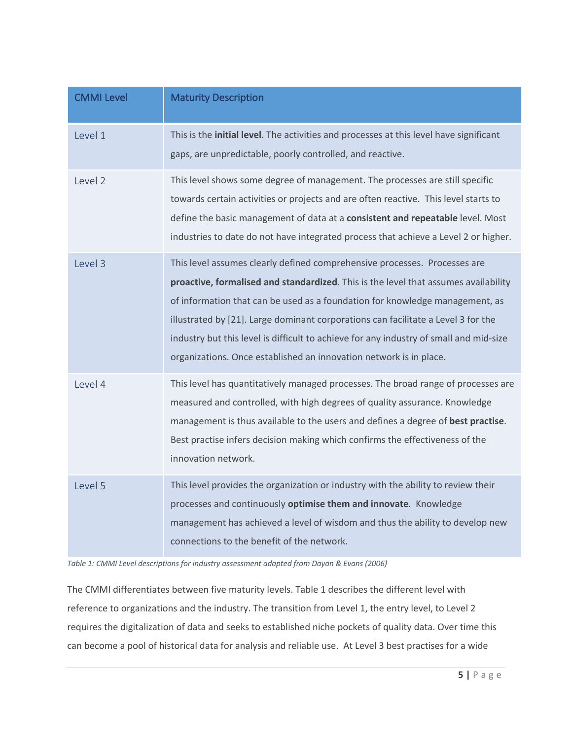| <b>CMMI Level</b> | <b>Maturity Description</b>                                                                                                                                                                                                                                                                                                                                                                                                                                                                           |
|-------------------|-------------------------------------------------------------------------------------------------------------------------------------------------------------------------------------------------------------------------------------------------------------------------------------------------------------------------------------------------------------------------------------------------------------------------------------------------------------------------------------------------------|
| Level 1           | This is the initial level. The activities and processes at this level have significant<br>gaps, are unpredictable, poorly controlled, and reactive.                                                                                                                                                                                                                                                                                                                                                   |
| Level 2           | This level shows some degree of management. The processes are still specific<br>towards certain activities or projects and are often reactive. This level starts to<br>define the basic management of data at a consistent and repeatable level. Most<br>industries to date do not have integrated process that achieve a Level 2 or higher.                                                                                                                                                          |
| Level 3           | This level assumes clearly defined comprehensive processes. Processes are<br>proactive, formalised and standardized. This is the level that assumes availability<br>of information that can be used as a foundation for knowledge management, as<br>illustrated by [21]. Large dominant corporations can facilitate a Level 3 for the<br>industry but this level is difficult to achieve for any industry of small and mid-size<br>organizations. Once established an innovation network is in place. |
| Level 4           | This level has quantitatively managed processes. The broad range of processes are<br>measured and controlled, with high degrees of quality assurance. Knowledge<br>management is thus available to the users and defines a degree of best practise.<br>Best practise infers decision making which confirms the effectiveness of the<br>innovation network.                                                                                                                                            |
| Level 5           | This level provides the organization or industry with the ability to review their<br>processes and continuously optimise them and innovate. Knowledge<br>management has achieved a level of wisdom and thus the ability to develop new<br>connections to the benefit of the network.                                                                                                                                                                                                                  |

*Table 1: CMMI Level descriptions for industry assessment adapted from Dayan & Evans (2006)*

The CMMI differentiates between five maturity levels. Table 1 describes the different level with reference to organizations and the industry. The transition from Level 1, the entry level, to Level 2 requires the digitalization of data and seeks to established niche pockets of quality data. Over time this can become a pool of historical data for analysis and reliable use. At Level 3 best practises for a wide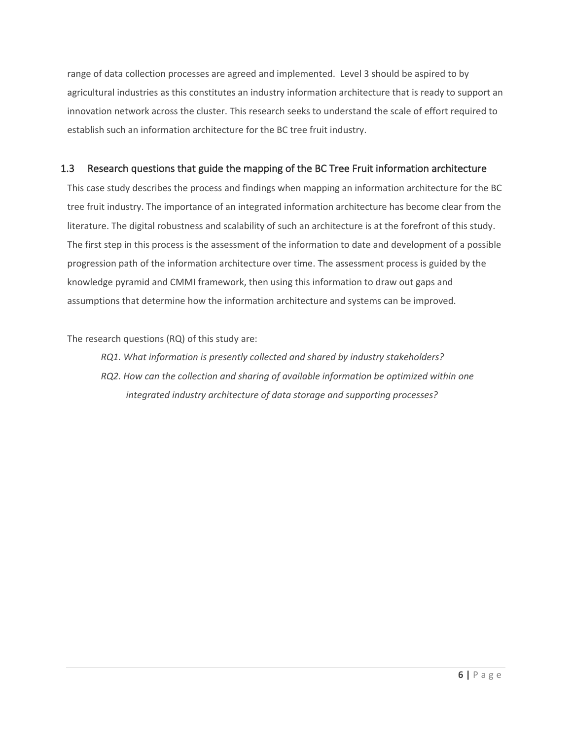range of data collection processes are agreed and implemented. Level 3 should be aspired to by agricultural industries as this constitutes an industry information architecture that is ready to support an innovation network across the cluster. This research seeks to understand the scale of effort required to establish such an information architecture for the BC tree fruit industry.

## 1.3 Research questions that guide the mapping of the BC Tree Fruit information architecture

This case study describes the process and findings when mapping an information architecture for the BC tree fruit industry. The importance of an integrated information architecture has become clear from the literature. The digital robustness and scalability of such an architecture is at the forefront of this study. The first step in this process is the assessment of the information to date and development of a possible progression path of the information architecture over time. The assessment process is guided by the knowledge pyramid and CMMI framework, then using this information to draw out gaps and assumptions that determine how the information architecture and systems can be improved.

The research questions (RQ) of this study are:

*RQ1. What information is presently collected and shared by industry stakeholders? RQ2. How can the collection and sharing of available information be optimized within one integrated industry architecture of data storage and supporting processes?*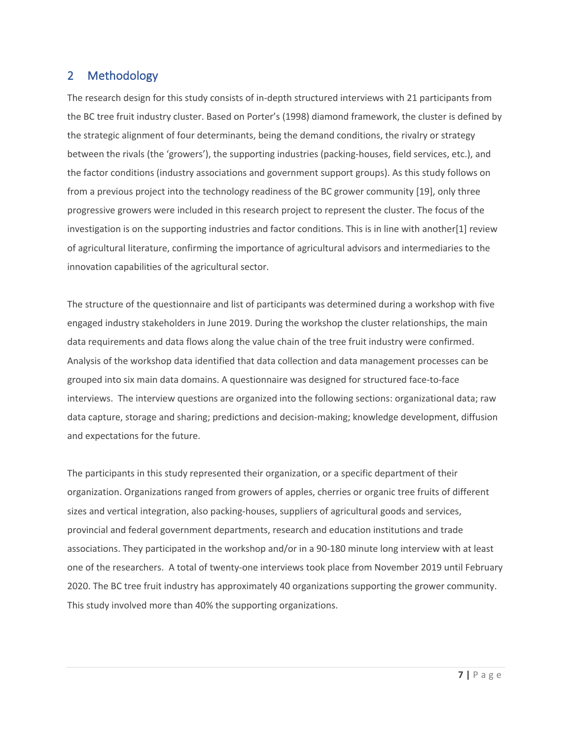# 2 Methodology

The research design for this study consists of in-depth structured interviews with 21 participants from the BC tree fruit industry cluster. Based on Porter's (1998) diamond framework, the cluster is defined by the strategic alignment of four determinants, being the demand conditions, the rivalry or strategy between the rivals (the 'growers'), the supporting industries (packing-houses, field services, etc.), and the factor conditions (industry associations and government support groups). As this study follows on from a previous project into the technology readiness of the BC grower community [19], only three progressive growers were included in this research project to represent the cluster. The focus of the investigation is on the supporting industries and factor conditions. This is in line with another[1] review of agricultural literature, confirming the importance of agricultural advisors and intermediaries to the innovation capabilities of the agricultural sector.

The structure of the questionnaire and list of participants was determined during a workshop with five engaged industry stakeholders in June 2019. During the workshop the cluster relationships, the main data requirements and data flows along the value chain of the tree fruit industry were confirmed. Analysis of the workshop data identified that data collection and data management processes can be grouped into six main data domains. A questionnaire was designed for structured face-to-face interviews. The interview questions are organized into the following sections: organizational data; raw data capture, storage and sharing; predictions and decision-making; knowledge development, diffusion and expectations for the future.

The participants in this study represented their organization, or a specific department of their organization. Organizations ranged from growers of apples, cherries or organic tree fruits of different sizes and vertical integration, also packing-houses, suppliers of agricultural goods and services, provincial and federal government departments, research and education institutions and trade associations. They participated in the workshop and/or in a 90-180 minute long interview with at least one of the researchers. A total of twenty-one interviews took place from November 2019 until February 2020. The BC tree fruit industry has approximately 40 organizations supporting the grower community. This study involved more than 40% the supporting organizations.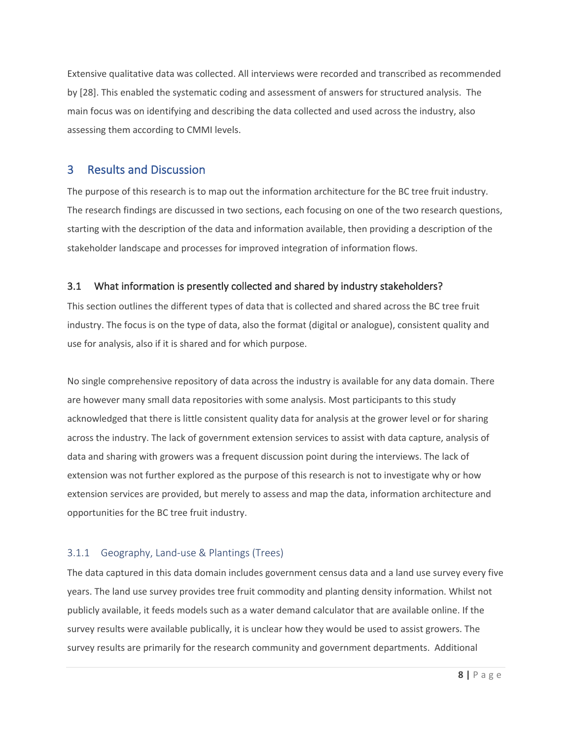Extensive qualitative data was collected. All interviews were recorded and transcribed as recommended by [28]. This enabled the systematic coding and assessment of answers for structured analysis. The main focus was on identifying and describing the data collected and used across the industry, also assessing them according to CMMI levels.

## 3 Results and Discussion

The purpose of this research is to map out the information architecture for the BC tree fruit industry. The research findings are discussed in two sections, each focusing on one of the two research questions, starting with the description of the data and information available, then providing a description of the stakeholder landscape and processes for improved integration of information flows.

## 3.1 What information is presently collected and shared by industry stakeholders?

This section outlines the different types of data that is collected and shared across the BC tree fruit industry. The focus is on the type of data, also the format (digital or analogue), consistent quality and use for analysis, also if it is shared and for which purpose.

No single comprehensive repository of data across the industry is available for any data domain. There are however many small data repositories with some analysis. Most participants to this study acknowledged that there is little consistent quality data for analysis at the grower level or for sharing across the industry. The lack of government extension services to assist with data capture, analysis of data and sharing with growers was a frequent discussion point during the interviews. The lack of extension was not further explored as the purpose of this research is not to investigate why or how extension services are provided, but merely to assess and map the data, information architecture and opportunities for the BC tree fruit industry.

## 3.1.1 Geography, Land-use & Plantings (Trees)

The data captured in this data domain includes government census data and a land use survey every five years. The land use survey provides tree fruit commodity and planting density information. Whilst not publicly available, it feeds models such as a water demand calculator that are available online. If the survey results were available publically, it is unclear how they would be used to assist growers. The survey results are primarily for the research community and government departments. Additional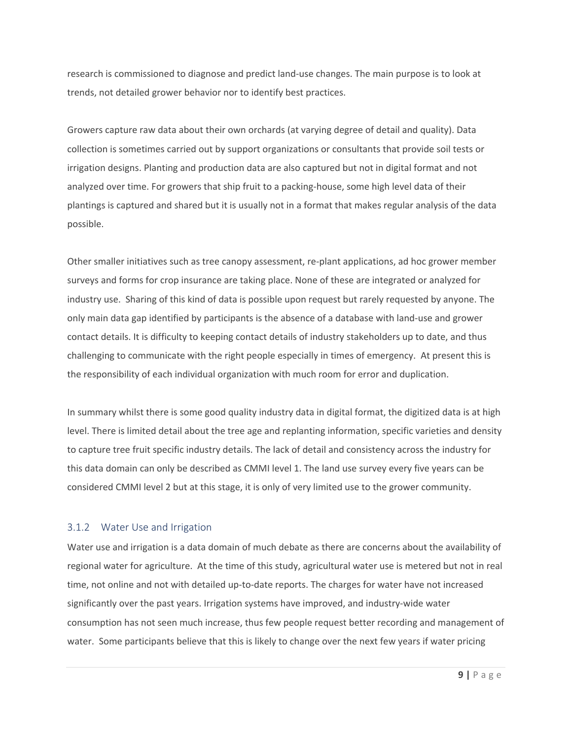research is commissioned to diagnose and predict land-use changes. The main purpose is to look at trends, not detailed grower behavior nor to identify best practices.

Growers capture raw data about their own orchards (at varying degree of detail and quality). Data collection is sometimes carried out by support organizations or consultants that provide soil tests or irrigation designs. Planting and production data are also captured but not in digital format and not analyzed over time. For growers that ship fruit to a packing-house, some high level data of their plantings is captured and shared but it is usually not in a format that makes regular analysis of the data possible.

Other smaller initiatives such as tree canopy assessment, re-plant applications, ad hoc grower member surveys and forms for crop insurance are taking place. None of these are integrated or analyzed for industry use. Sharing of this kind of data is possible upon request but rarely requested by anyone. The only main data gap identified by participants is the absence of a database with land-use and grower contact details. It is difficulty to keeping contact details of industry stakeholders up to date, and thus challenging to communicate with the right people especially in times of emergency. At present this is the responsibility of each individual organization with much room for error and duplication.

In summary whilst there is some good quality industry data in digital format, the digitized data is at high level. There is limited detail about the tree age and replanting information, specific varieties and density to capture tree fruit specific industry details. The lack of detail and consistency across the industry for this data domain can only be described as CMMI level 1. The land use survey every five years can be considered CMMI level 2 but at this stage, it is only of very limited use to the grower community.

#### 3.1.2 Water Use and Irrigation

Water use and irrigation is a data domain of much debate as there are concerns about the availability of regional water for agriculture. At the time of this study, agricultural water use is metered but not in real time, not online and not with detailed up-to-date reports. The charges for water have not increased significantly over the past years. Irrigation systems have improved, and industry-wide water consumption has not seen much increase, thus few people request better recording and management of water. Some participants believe that this is likely to change over the next few years if water pricing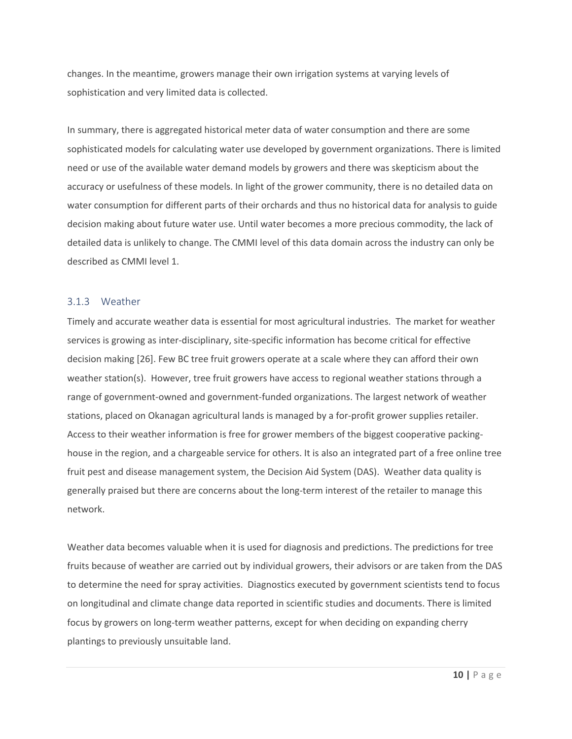changes. In the meantime, growers manage their own irrigation systems at varying levels of sophistication and very limited data is collected.

In summary, there is aggregated historical meter data of water consumption and there are some sophisticated models for calculating water use developed by government organizations. There is limited need or use of the available water demand models by growers and there was skepticism about the accuracy or usefulness of these models. In light of the grower community, there is no detailed data on water consumption for different parts of their orchards and thus no historical data for analysis to guide decision making about future water use. Until water becomes a more precious commodity, the lack of detailed data is unlikely to change. The CMMI level of this data domain across the industry can only be described as CMMI level 1.

#### 3.1.3 Weather

Timely and accurate weather data is essential for most agricultural industries. The market for weather services is growing as inter-disciplinary, site-specific information has become critical for effective decision making [26]. Few BC tree fruit growers operate at a scale where they can afford their own weather station(s). However, tree fruit growers have access to regional weather stations through a range of government-owned and government-funded organizations. The largest network of weather stations, placed on Okanagan agricultural lands is managed by a for-profit grower supplies retailer. Access to their weather information is free for grower members of the biggest cooperative packinghouse in the region, and a chargeable service for others. It is also an integrated part of a free online tree fruit pest and disease management system, the Decision Aid System (DAS). Weather data quality is generally praised but there are concerns about the long-term interest of the retailer to manage this network.

Weather data becomes valuable when it is used for diagnosis and predictions. The predictions for tree fruits because of weather are carried out by individual growers, their advisors or are taken from the DAS to determine the need for spray activities. Diagnostics executed by government scientists tend to focus on longitudinal and climate change data reported in scientific studies and documents. There is limited focus by growers on long-term weather patterns, except for when deciding on expanding cherry plantings to previously unsuitable land.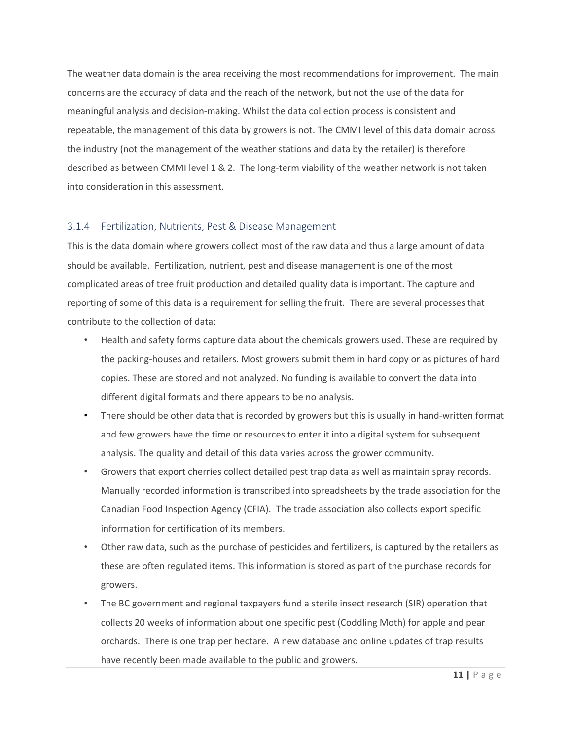The weather data domain is the area receiving the most recommendations for improvement. The main concerns are the accuracy of data and the reach of the network, but not the use of the data for meaningful analysis and decision-making. Whilst the data collection process is consistent and repeatable, the management of this data by growers is not. The CMMI level of this data domain across the industry (not the management of the weather stations and data by the retailer) is therefore described as between CMMI level 1 & 2. The long-term viability of the weather network is not taken into consideration in this assessment.

#### 3.1.4 Fertilization, Nutrients, Pest & Disease Management

This is the data domain where growers collect most of the raw data and thus a large amount of data should be available. Fertilization, nutrient, pest and disease management is one of the most complicated areas of tree fruit production and detailed quality data is important. The capture and reporting of some of this data is a requirement for selling the fruit. There are several processes that contribute to the collection of data:

- Health and safety forms capture data about the chemicals growers used. These are required by the packing-houses and retailers. Most growers submit them in hard copy or as pictures of hard copies. These are stored and not analyzed. No funding is available to convert the data into different digital formats and there appears to be no analysis.
- There should be other data that is recorded by growers but this is usually in hand-written format and few growers have the time or resources to enter it into a digital system for subsequent analysis. The quality and detail of this data varies across the grower community.
- Growers that export cherries collect detailed pest trap data as well as maintain spray records. Manually recorded information is transcribed into spreadsheets by the trade association for the Canadian Food Inspection Agency (CFIA). The trade association also collects export specific information for certification of its members.
- Other raw data, such as the purchase of pesticides and fertilizers, is captured by the retailers as these are often regulated items. This information is stored as part of the purchase records for growers.
- The BC government and regional taxpayers fund a sterile insect research (SIR) operation that collects 20 weeks of information about one specific pest (Coddling Moth) for apple and pear orchards. There is one trap per hectare. A new database and online updates of trap results have recently been made available to the public and growers.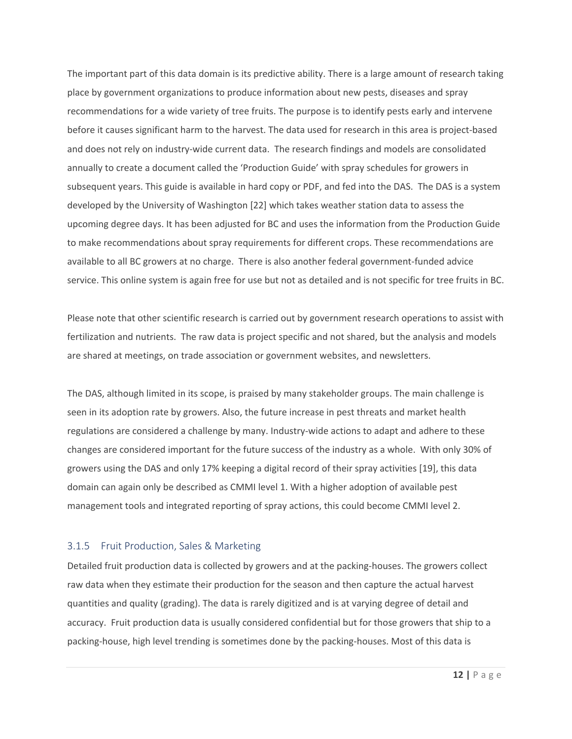The important part of this data domain is its predictive ability. There is a large amount of research taking place by government organizations to produce information about new pests, diseases and spray recommendations for a wide variety of tree fruits. The purpose is to identify pests early and intervene before it causes significant harm to the harvest. The data used for research in this area is project-based and does not rely on industry-wide current data. The research findings and models are consolidated annually to create a document called the 'Production Guide' with spray schedules for growers in subsequent years. This guide is available in hard copy or PDF, and fed into the DAS. The DAS is a system developed by the University of Washington [22] which takes weather station data to assess the upcoming degree days. It has been adjusted for BC and uses the information from the Production Guide to make recommendations about spray requirements for different crops. These recommendations are available to all BC growers at no charge. There is also another federal government-funded advice service. This online system is again free for use but not as detailed and is not specific for tree fruits in BC.

Please note that other scientific research is carried out by government research operations to assist with fertilization and nutrients. The raw data is project specific and not shared, but the analysis and models are shared at meetings, on trade association or government websites, and newsletters.

The DAS, although limited in its scope, is praised by many stakeholder groups. The main challenge is seen in its adoption rate by growers. Also, the future increase in pest threats and market health regulations are considered a challenge by many. Industry-wide actions to adapt and adhere to these changes are considered important for the future success of the industry as a whole. With only 30% of growers using the DAS and only 17% keeping a digital record of their spray activities [19], this data domain can again only be described as CMMI level 1. With a higher adoption of available pest management tools and integrated reporting of spray actions, this could become CMMI level 2.

#### 3.1.5 Fruit Production, Sales & Marketing

Detailed fruit production data is collected by growers and at the packing-houses. The growers collect raw data when they estimate their production for the season and then capture the actual harvest quantities and quality (grading). The data is rarely digitized and is at varying degree of detail and accuracy. Fruit production data is usually considered confidential but for those growers that ship to a packing-house, high level trending is sometimes done by the packing-houses. Most of this data is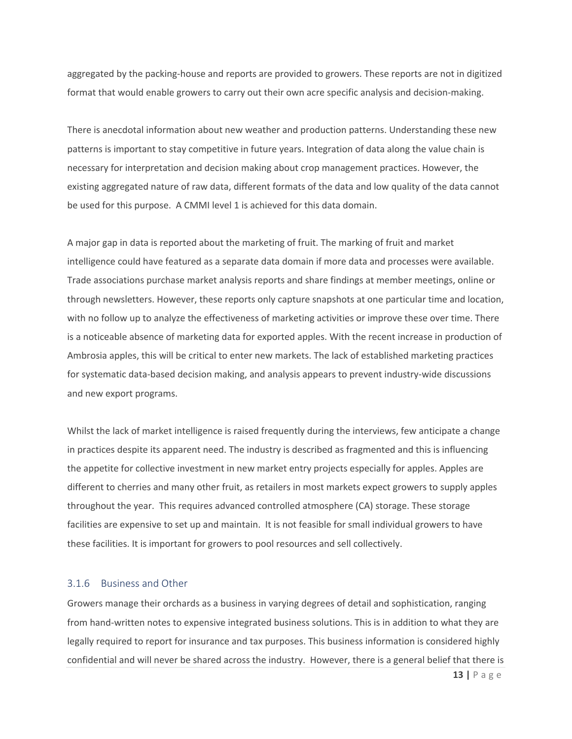aggregated by the packing-house and reports are provided to growers. These reports are not in digitized format that would enable growers to carry out their own acre specific analysis and decision-making.

There is anecdotal information about new weather and production patterns. Understanding these new patterns is important to stay competitive in future years. Integration of data along the value chain is necessary for interpretation and decision making about crop management practices. However, the existing aggregated nature of raw data, different formats of the data and low quality of the data cannot be used for this purpose. A CMMI level 1 is achieved for this data domain.

A major gap in data is reported about the marketing of fruit. The marking of fruit and market intelligence could have featured as a separate data domain if more data and processes were available. Trade associations purchase market analysis reports and share findings at member meetings, online or through newsletters. However, these reports only capture snapshots at one particular time and location, with no follow up to analyze the effectiveness of marketing activities or improve these over time. There is a noticeable absence of marketing data for exported apples. With the recent increase in production of Ambrosia apples, this will be critical to enter new markets. The lack of established marketing practices for systematic data-based decision making, and analysis appears to prevent industry-wide discussions and new export programs.

Whilst the lack of market intelligence is raised frequently during the interviews, few anticipate a change in practices despite its apparent need. The industry is described as fragmented and this is influencing the appetite for collective investment in new market entry projects especially for apples. Apples are different to cherries and many other fruit, as retailers in most markets expect growers to supply apples throughout the year. This requires advanced controlled atmosphere (CA) storage. These storage facilities are expensive to set up and maintain. It is not feasible for small individual growers to have these facilities. It is important for growers to pool resources and sell collectively.

#### 3.1.6 Business and Other

Growers manage their orchards as a business in varying degrees of detail and sophistication, ranging from hand-written notes to expensive integrated business solutions. This is in addition to what they are legally required to report for insurance and tax purposes. This business information is considered highly confidential and will never be shared across the industry. However, there is a general belief that there is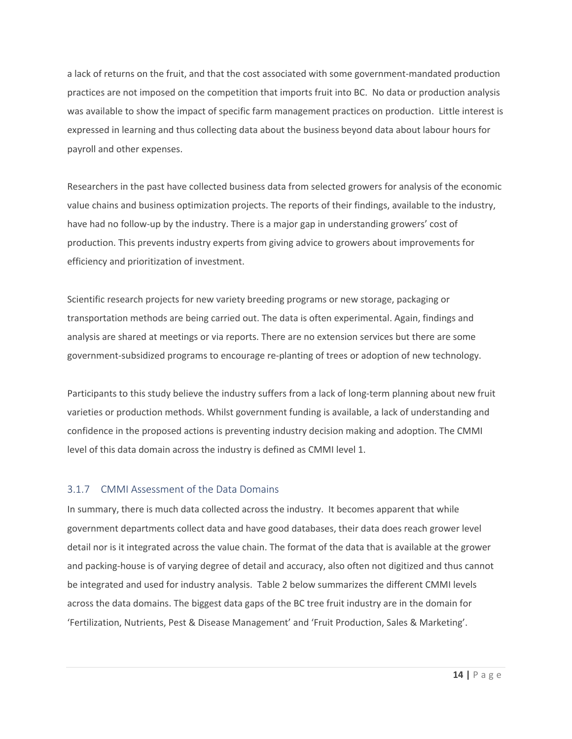a lack of returns on the fruit, and that the cost associated with some government-mandated production practices are not imposed on the competition that imports fruit into BC. No data or production analysis was available to show the impact of specific farm management practices on production. Little interest is expressed in learning and thus collecting data about the business beyond data about labour hours for payroll and other expenses.

Researchers in the past have collected business data from selected growers for analysis of the economic value chains and business optimization projects. The reports of their findings, available to the industry, have had no follow-up by the industry. There is a major gap in understanding growers' cost of production. This prevents industry experts from giving advice to growers about improvements for efficiency and prioritization of investment.

Scientific research projects for new variety breeding programs or new storage, packaging or transportation methods are being carried out. The data is often experimental. Again, findings and analysis are shared at meetings or via reports. There are no extension services but there are some government-subsidized programs to encourage re-planting of trees or adoption of new technology.

Participants to this study believe the industry suffers from a lack of long-term planning about new fruit varieties or production methods. Whilst government funding is available, a lack of understanding and confidence in the proposed actions is preventing industry decision making and adoption. The CMMI level of this data domain across the industry is defined as CMMI level 1.

## 3.1.7 CMMI Assessment of the Data Domains

In summary, there is much data collected across the industry. It becomes apparent that while government departments collect data and have good databases, their data does reach grower level detail nor is it integrated across the value chain. The format of the data that is available at the grower and packing-house is of varying degree of detail and accuracy, also often not digitized and thus cannot be integrated and used for industry analysis. Table 2 below summarizes the different CMMI levels across the data domains. The biggest data gaps of the BC tree fruit industry are in the domain for 'Fertilization, Nutrients, Pest & Disease Management' and 'Fruit Production, Sales & Marketing'.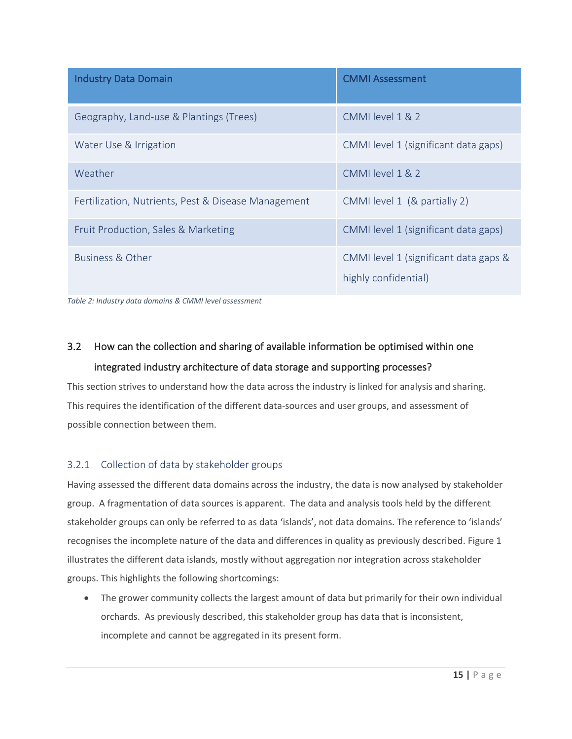| <b>Industry Data Domain</b>                         | <b>CMMI Assessment</b>                                        |
|-----------------------------------------------------|---------------------------------------------------------------|
| Geography, Land-use & Plantings (Trees)             | CMMI level 1 & 2                                              |
| Water Use & Irrigation                              | CMMI level 1 (significant data gaps)                          |
| Weather                                             | CMMI level 1 & 2                                              |
| Fertilization, Nutrients, Pest & Disease Management | CMMI level 1 (& partially 2)                                  |
| Fruit Production, Sales & Marketing                 | CMMI level 1 (significant data gaps)                          |
| Business & Other                                    | CMMI level 1 (significant data gaps &<br>highly confidential) |

*Table 2: Industry data domains & CMMI level assessment*

# 3.2 How can the collection and sharing of available information be optimised within one integrated industry architecture of data storage and supporting processes?

This section strives to understand how the data across the industry is linked for analysis and sharing. This requires the identification of the different data-sources and user groups, and assessment of possible connection between them.

# 3.2.1 Collection of data by stakeholder groups

Having assessed the different data domains across the industry, the data is now analysed by stakeholder group. A fragmentation of data sources is apparent. The data and analysis tools held by the different stakeholder groups can only be referred to as data 'islands', not data domains. The reference to 'islands' recognises the incomplete nature of the data and differences in quality as previously described. Figure 1 illustrates the different data islands, mostly without aggregation nor integration across stakeholder groups. This highlights the following shortcomings:

• The grower community collects the largest amount of data but primarily for their own individual orchards. As previously described, this stakeholder group has data that is inconsistent, incomplete and cannot be aggregated in its present form.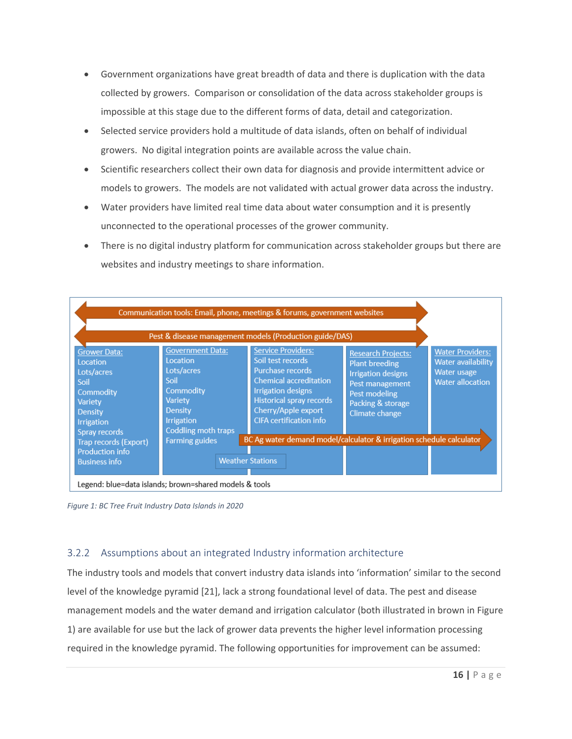- Government organizations have great breadth of data and there is duplication with the data collected by growers. Comparison or consolidation of the data across stakeholder groups is impossible at this stage due to the different forms of data, detail and categorization.
- Selected service providers hold a multitude of data islands, often on behalf of individual growers. No digital integration points are available across the value chain.
- Scientific researchers collect their own data for diagnosis and provide intermittent advice or models to growers. The models are not validated with actual grower data across the industry.
- Water providers have limited real time data about water consumption and it is presently unconnected to the operational processes of the grower community.
- There is no digital industry platform for communication across stakeholder groups but there are websites and industry meetings to share information.

|                                                                                                                                |                                                                                                                                                        | Communication tools: Email, phone, meetings & forums, government websites<br>Pest & disease management models (Production guide/DAS)                                                                                         |                                                                                                                                                            |                                                                                         |  |  |
|--------------------------------------------------------------------------------------------------------------------------------|--------------------------------------------------------------------------------------------------------------------------------------------------------|------------------------------------------------------------------------------------------------------------------------------------------------------------------------------------------------------------------------------|------------------------------------------------------------------------------------------------------------------------------------------------------------|-----------------------------------------------------------------------------------------|--|--|
| <b>Grower Data:</b><br>Location<br>Lots/acres<br>Soil<br>Commodity<br>Variety<br>Density<br><b>Irrigation</b><br>Spray records | <b>Government Data:</b><br><b>Location</b><br>Lots/acres<br>Soil<br>Commodity<br>Variety<br><b>Density</b><br><b>Irrigation</b><br>Coddling moth traps | <b>Service Providers:</b><br>Soil test records<br>Purchase records<br><b>Chemical accreditation</b><br><b>Irrigation designs</b><br><b>Historical spray records</b><br>Cherry/Apple export<br><b>CIFA</b> certification info | <b>Research Projects:</b><br><b>Plant breeding</b><br><b>Irrigation designs</b><br>Pest management<br>Pest modeling<br>Packing & storage<br>Climate change | <b>Water Providers:</b><br>Water availability<br>Water usage<br><b>Water allocation</b> |  |  |
| Trap records (Export)                                                                                                          | <b>Farming guides</b>                                                                                                                                  | BC Ag water demand model/calculator & irrigation schedule calculator                                                                                                                                                         |                                                                                                                                                            |                                                                                         |  |  |
| <b>Production info</b><br><b>Business info</b>                                                                                 |                                                                                                                                                        | <b>Weather Stations</b>                                                                                                                                                                                                      |                                                                                                                                                            |                                                                                         |  |  |
| Legend: blue=data islands; brown=shared models & tools                                                                         |                                                                                                                                                        |                                                                                                                                                                                                                              |                                                                                                                                                            |                                                                                         |  |  |

*Figure 1: BC Tree Fruit Industry Data Islands in 2020*

## 3.2.2 Assumptions about an integrated Industry information architecture

The industry tools and models that convert industry data islands into 'information' similar to the second level of the knowledge pyramid [21], lack a strong foundational level of data. The pest and disease management models and the water demand and irrigation calculator (both illustrated in brown in Figure 1) are available for use but the lack of grower data prevents the higher level information processing required in the knowledge pyramid. The following opportunities for improvement can be assumed: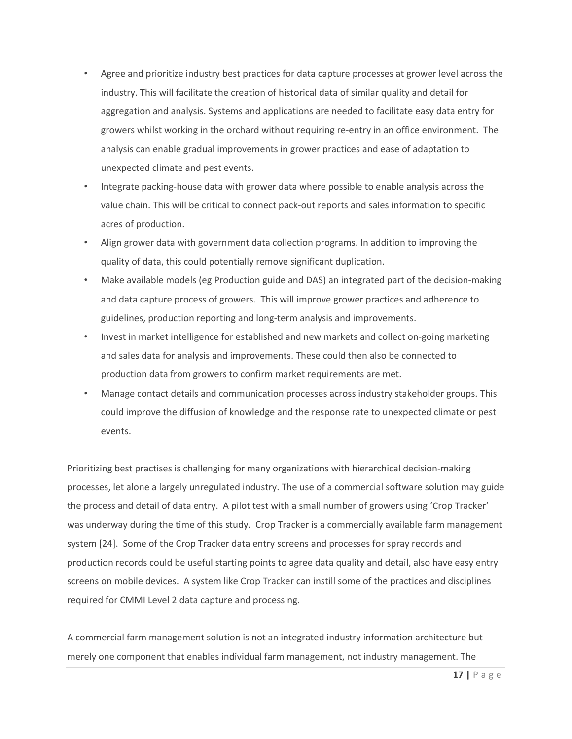- Agree and prioritize industry best practices for data capture processes at grower level across the industry. This will facilitate the creation of historical data of similar quality and detail for aggregation and analysis. Systems and applications are needed to facilitate easy data entry for growers whilst working in the orchard without requiring re-entry in an office environment. The analysis can enable gradual improvements in grower practices and ease of adaptation to unexpected climate and pest events.
- Integrate packing-house data with grower data where possible to enable analysis across the value chain. This will be critical to connect pack-out reports and sales information to specific acres of production.
- Align grower data with government data collection programs. In addition to improving the quality of data, this could potentially remove significant duplication.
- Make available models (eg Production guide and DAS) an integrated part of the decision-making and data capture process of growers. This will improve grower practices and adherence to guidelines, production reporting and long-term analysis and improvements.
- Invest in market intelligence for established and new markets and collect on-going marketing and sales data for analysis and improvements. These could then also be connected to production data from growers to confirm market requirements are met.
- Manage contact details and communication processes across industry stakeholder groups. This could improve the diffusion of knowledge and the response rate to unexpected climate or pest events.

Prioritizing best practises is challenging for many organizations with hierarchical decision-making processes, let alone a largely unregulated industry. The use of a commercial software solution may guide the process and detail of data entry. A pilot test with a small number of growers using 'Crop Tracker' was underway during the time of this study. Crop Tracker is a commercially available farm management system [24]. Some of the Crop Tracker data entry screens and processes for spray records and production records could be useful starting points to agree data quality and detail, also have easy entry screens on mobile devices. A system like Crop Tracker can instill some of the practices and disciplines required for CMMI Level 2 data capture and processing.

A commercial farm management solution is not an integrated industry information architecture but merely one component that enables individual farm management, not industry management. The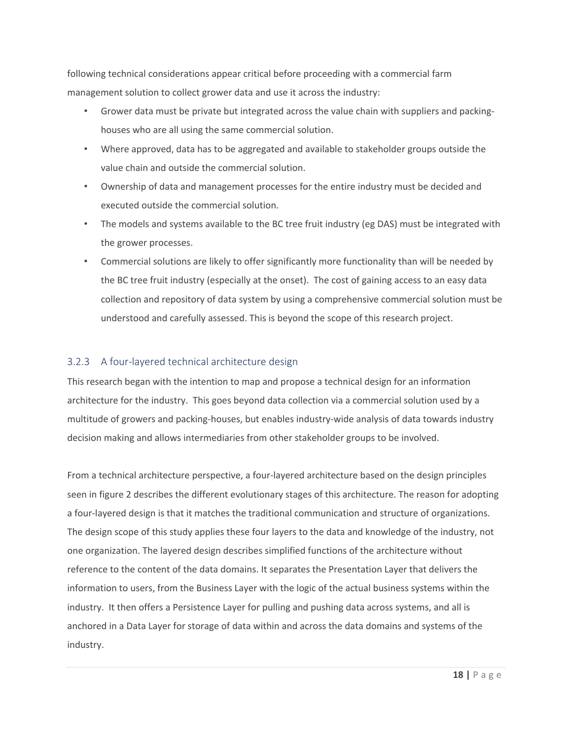following technical considerations appear critical before proceeding with a commercial farm management solution to collect grower data and use it across the industry:

- Grower data must be private but integrated across the value chain with suppliers and packinghouses who are all using the same commercial solution.
- Where approved, data has to be aggregated and available to stakeholder groups outside the value chain and outside the commercial solution.
- Ownership of data and management processes for the entire industry must be decided and executed outside the commercial solution.
- The models and systems available to the BC tree fruit industry (eg DAS) must be integrated with the grower processes.
- Commercial solutions are likely to offer significantly more functionality than will be needed by the BC tree fruit industry (especially at the onset). The cost of gaining access to an easy data collection and repository of data system by using a comprehensive commercial solution must be understood and carefully assessed. This is beyond the scope of this research project.

## 3.2.3 A four-layered technical architecture design

This research began with the intention to map and propose a technical design for an information architecture for the industry. This goes beyond data collection via a commercial solution used by a multitude of growers and packing-houses, but enables industry-wide analysis of data towards industry decision making and allows intermediaries from other stakeholder groups to be involved.

From a technical architecture perspective, a four-layered architecture based on the design principles seen in figure 2 describes the different evolutionary stages of this architecture. The reason for adopting a four-layered design is that it matches the traditional communication and structure of organizations. The design scope of this study applies these four layers to the data and knowledge of the industry, not one organization. The layered design describes simplified functions of the architecture without reference to the content of the data domains. It separates the Presentation Layer that delivers the information to users, from the Business Layer with the logic of the actual business systems within the industry. It then offers a Persistence Layer for pulling and pushing data across systems, and all is anchored in a Data Layer for storage of data within and across the data domains and systems of the industry.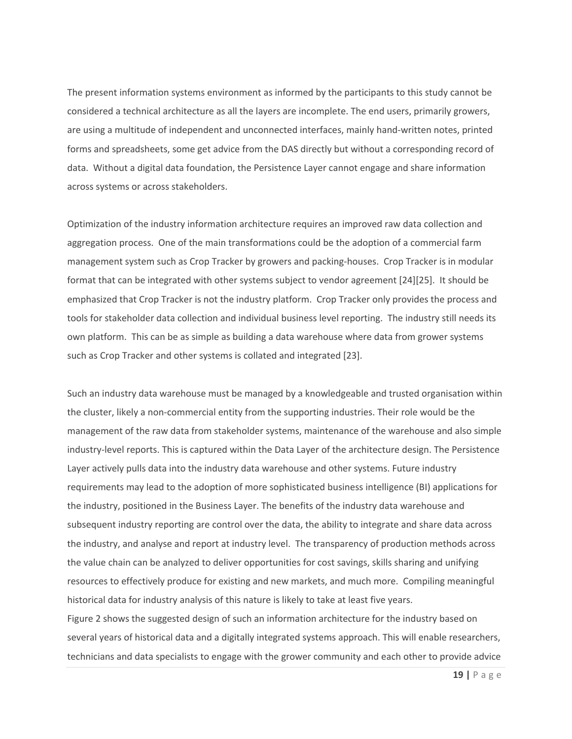The present information systems environment as informed by the participants to this study cannot be considered a technical architecture as all the layers are incomplete. The end users, primarily growers, are using a multitude of independent and unconnected interfaces, mainly hand-written notes, printed forms and spreadsheets, some get advice from the DAS directly but without a corresponding record of data. Without a digital data foundation, the Persistence Layer cannot engage and share information across systems or across stakeholders.

Optimization of the industry information architecture requires an improved raw data collection and aggregation process. One of the main transformations could be the adoption of a commercial farm management system such as Crop Tracker by growers and packing-houses. Crop Tracker is in modular format that can be integrated with other systems subject to vendor agreement [24][25]. It should be emphasized that Crop Tracker is not the industry platform. Crop Tracker only provides the process and tools for stakeholder data collection and individual business level reporting. The industry still needs its own platform. This can be as simple as building a data warehouse where data from grower systems such as Crop Tracker and other systems is collated and integrated [23].

Such an industry data warehouse must be managed by a knowledgeable and trusted organisation within the cluster, likely a non-commercial entity from the supporting industries. Their role would be the management of the raw data from stakeholder systems, maintenance of the warehouse and also simple industry-level reports. This is captured within the Data Layer of the architecture design. The Persistence Layer actively pulls data into the industry data warehouse and other systems. Future industry requirements may lead to the adoption of more sophisticated business intelligence (BI) applications for the industry, positioned in the Business Layer. The benefits of the industry data warehouse and subsequent industry reporting are control over the data, the ability to integrate and share data across the industry, and analyse and report at industry level. The transparency of production methods across the value chain can be analyzed to deliver opportunities for cost savings, skills sharing and unifying resources to effectively produce for existing and new markets, and much more. Compiling meaningful historical data for industry analysis of this nature is likely to take at least five years. Figure 2 shows the suggested design of such an information architecture for the industry based on several years of historical data and a digitally integrated systems approach. This will enable researchers, technicians and data specialists to engage with the grower community and each other to provide advice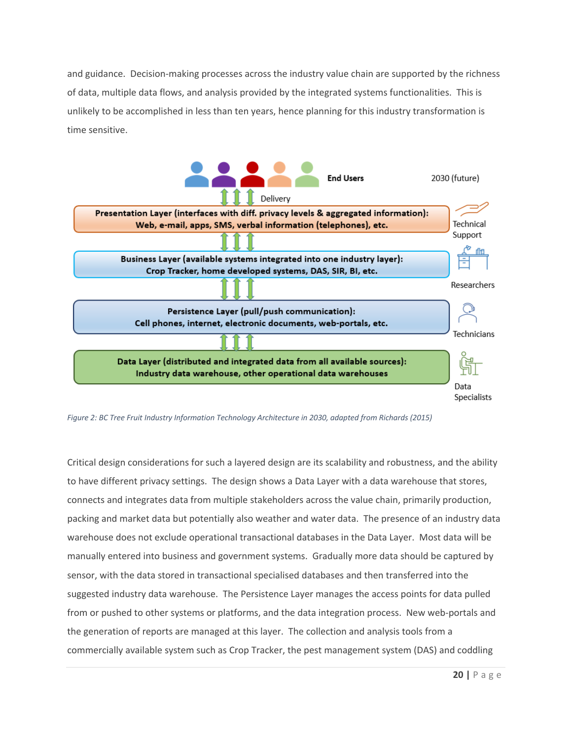and guidance. Decision-making processes across the industry value chain are supported by the richness of data, multiple data flows, and analysis provided by the integrated systems functionalities. This is unlikely to be accomplished in less than ten years, hence planning for this industry transformation is time sensitive.



*Figure 2: BC Tree Fruit Industry Information Technology Architecture in 2030, adapted from Richards (2015)*

Critical design considerations for such a layered design are its scalability and robustness, and the ability to have different privacy settings. The design shows a Data Layer with a data warehouse that stores, connects and integrates data from multiple stakeholders across the value chain, primarily production, packing and market data but potentially also weather and water data. The presence of an industry data warehouse does not exclude operational transactional databases in the Data Layer. Most data will be manually entered into business and government systems. Gradually more data should be captured by sensor, with the data stored in transactional specialised databases and then transferred into the suggested industry data warehouse. The Persistence Layer manages the access points for data pulled from or pushed to other systems or platforms, and the data integration process. New web-portals and the generation of reports are managed at this layer. The collection and analysis tools from a commercially available system such as Crop Tracker, the pest management system (DAS) and coddling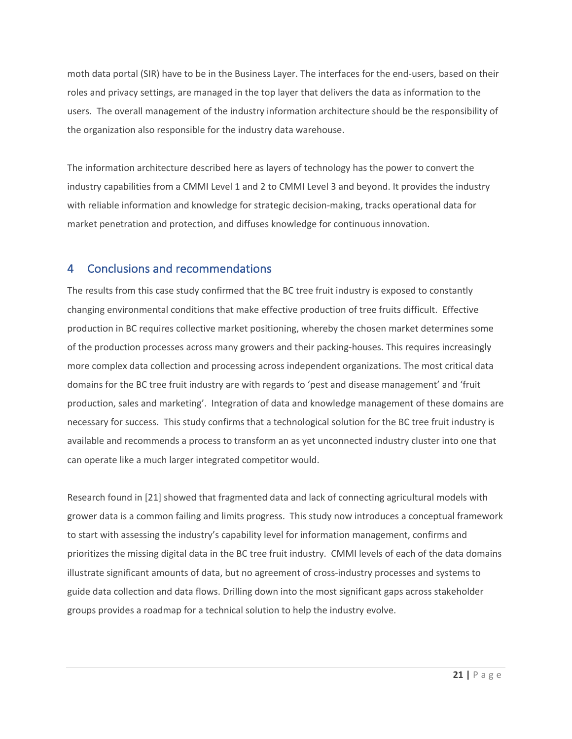moth data portal (SIR) have to be in the Business Layer. The interfaces for the end-users, based on their roles and privacy settings, are managed in the top layer that delivers the data as information to the users. The overall management of the industry information architecture should be the responsibility of the organization also responsible for the industry data warehouse.

The information architecture described here as layers of technology has the power to convert the industry capabilities from a CMMI Level 1 and 2 to CMMI Level 3 and beyond. It provides the industry with reliable information and knowledge for strategic decision-making, tracks operational data for market penetration and protection, and diffuses knowledge for continuous innovation.

# 4 Conclusions and recommendations

The results from this case study confirmed that the BC tree fruit industry is exposed to constantly changing environmental conditions that make effective production of tree fruits difficult. Effective production in BC requires collective market positioning, whereby the chosen market determines some of the production processes across many growers and their packing-houses. This requires increasingly more complex data collection and processing across independent organizations. The most critical data domains for the BC tree fruit industry are with regards to 'pest and disease management' and 'fruit production, sales and marketing'. Integration of data and knowledge management of these domains are necessary for success. This study confirms that a technological solution for the BC tree fruit industry is available and recommends a process to transform an as yet unconnected industry cluster into one that can operate like a much larger integrated competitor would.

Research found in [21] showed that fragmented data and lack of connecting agricultural models with grower data is a common failing and limits progress. This study now introduces a conceptual framework to start with assessing the industry's capability level for information management, confirms and prioritizes the missing digital data in the BC tree fruit industry. CMMI levels of each of the data domains illustrate significant amounts of data, but no agreement of cross-industry processes and systems to guide data collection and data flows. Drilling down into the most significant gaps across stakeholder groups provides a roadmap for a technical solution to help the industry evolve.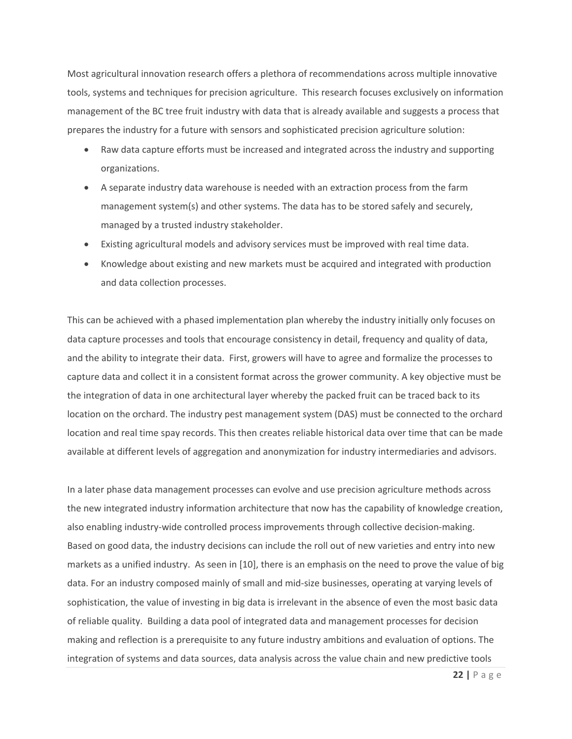Most agricultural innovation research offers a plethora of recommendations across multiple innovative tools, systems and techniques for precision agriculture. This research focuses exclusively on information management of the BC tree fruit industry with data that is already available and suggests a process that prepares the industry for a future with sensors and sophisticated precision agriculture solution:

- Raw data capture efforts must be increased and integrated across the industry and supporting organizations.
- A separate industry data warehouse is needed with an extraction process from the farm management system(s) and other systems. The data has to be stored safely and securely, managed by a trusted industry stakeholder.
- Existing agricultural models and advisory services must be improved with real time data.
- Knowledge about existing and new markets must be acquired and integrated with production and data collection processes.

This can be achieved with a phased implementation plan whereby the industry initially only focuses on data capture processes and tools that encourage consistency in detail, frequency and quality of data, and the ability to integrate their data. First, growers will have to agree and formalize the processes to capture data and collect it in a consistent format across the grower community. A key objective must be the integration of data in one architectural layer whereby the packed fruit can be traced back to its location on the orchard. The industry pest management system (DAS) must be connected to the orchard location and real time spay records. This then creates reliable historical data over time that can be made available at different levels of aggregation and anonymization for industry intermediaries and advisors.

In a later phase data management processes can evolve and use precision agriculture methods across the new integrated industry information architecture that now has the capability of knowledge creation, also enabling industry-wide controlled process improvements through collective decision-making. Based on good data, the industry decisions can include the roll out of new varieties and entry into new markets as a unified industry. As seen in [10], there is an emphasis on the need to prove the value of big data. For an industry composed mainly of small and mid-size businesses, operating at varying levels of sophistication, the value of investing in big data is irrelevant in the absence of even the most basic data of reliable quality. Building a data pool of integrated data and management processes for decision making and reflection is a prerequisite to any future industry ambitions and evaluation of options. The integration of systems and data sources, data analysis across the value chain and new predictive tools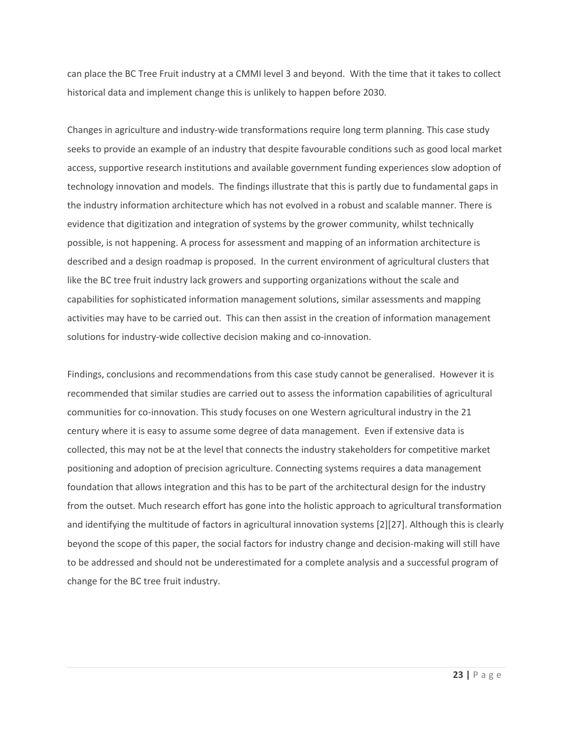can place the BC Tree Fruit industry at a CMMI level 3 and beyond. With the time that it takes to collect historical data and implement change this is unlikely to happen before 2030.

Changes in agriculture and industry-wide transformations require long term planning. This case study seeks to provide an example of an industry that despite favourable conditions such as good local market access, supportive research institutions and available government funding experiences slow adoption of technology innovation and models. The findings illustrate that this is partly due to fundamental gaps in the industry information architecture which has not evolved in a robust and scalable manner. There is evidence that digitization and integration of systems by the grower community, whilst technically possible, is not happening. A process for assessment and mapping of an information architecture is described and a design roadmap is proposed. In the current environment of agricultural clusters that like the BC tree fruit industry lack growers and supporting organizations without the scale and capabilities for sophisticated information management solutions, similar assessments and mapping activities may have to be carried out. This can then assist in the creation of information management solutions for industry-wide collective decision making and co-innovation.

Findings, conclusions and recommendations from this case study cannot be generalised. However it is recommended that similar studies are carried out to assess the information capabilities of agricultural communities for co-innovation. This study focuses on one Western agricultural industry in the 21 century where it is easy to assume some degree of data management. Even if extensive data is collected, this may not be at the level that connects the industry stakeholders for competitive market positioning and adoption of precision agriculture. Connecting systems requires a data management foundation that allows integration and this has to be part of the architectural design for the industry from the outset. Much research effort has gone into the holistic approach to agricultural transformation and identifying the multitude of factors in agricultural innovation systems [2][27]. Although this is clearly beyond the scope of this paper, the social factors for industry change and decision-making will still have to be addressed and should not be underestimated for a complete analysis and a successful program of change for the BC tree fruit industry.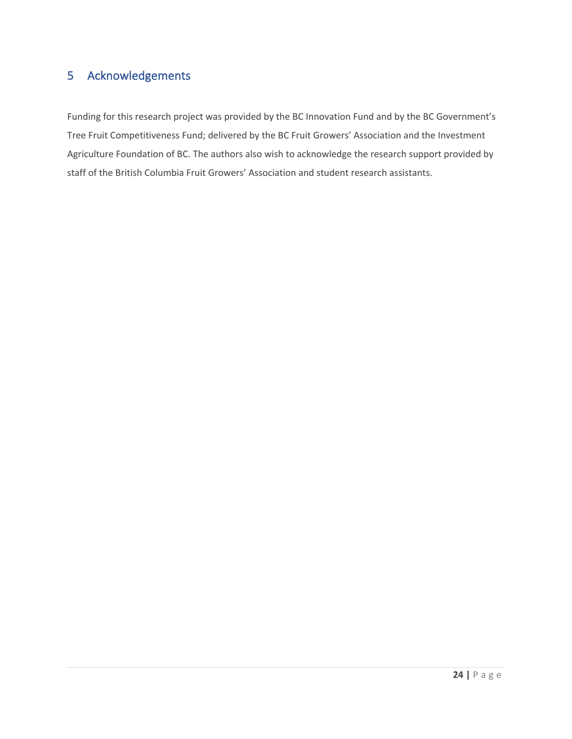# 5 Acknowledgements

Funding for this research project was provided by the BC Innovation Fund and by the BC Government's Tree Fruit Competitiveness Fund; delivered by the BC Fruit Growers' Association and the Investment Agriculture Foundation of BC. The authors also wish to acknowledge the research support provided by staff of the British Columbia Fruit Growers' Association and student research assistants.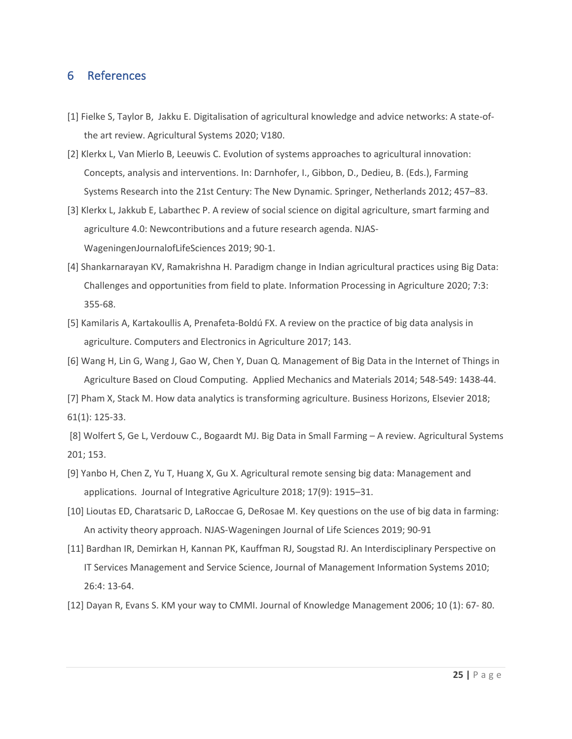## 6 References

- [1] Fielke S, Taylor B, Jakku E. Digitalisation of agricultural knowledge and advice networks: A state-ofthe art review. Agricultural Systems 2020; V180.
- [2] Klerkx L, Van Mierlo B, Leeuwis C. Evolution of systems approaches to agricultural innovation: Concepts, analysis and interventions. In: Darnhofer, I., Gibbon, D., Dedieu, B. (Eds.), Farming Systems Research into the 21st Century: The New Dynamic. Springer, Netherlands 2012; 457–83.
- [3] Klerkx L, Jakkub E, Labarthec P. A review of social science on digital agriculture, smart farming and agriculture 4.0: Newcontributions and a future research agenda. NJAS-WageningenJournalofLifeSciences 2019; 90-1.
- [4] Shankarnarayan KV, Ramakrishna H. Paradigm change in Indian agricultural practices using Big Data: Challenges and opportunities from field to plate. Information Processing in Agriculture 2020; 7:3: 355-68.
- [5] Kamilaris A, Kartakoullis A, Prenafeta-Boldú FX. A review on the practice of big data analysis in agriculture. Computers and Electronics in Agriculture 2017; 143.
- [6] Wang H, Lin G, Wang J, Gao W, Chen Y, Duan Q. Management of Big Data in the Internet of Things in Agriculture Based on Cloud Computing. Applied Mechanics and Materials 2014; 548-549: 1438-44.
- [7] Pham X, Stack M. How data analytics is transforming agriculture. Business Horizons, Elsevier 2018;
- 61(1): 125-33.

[8] Wolfert S, Ge L, Verdouw C., Bogaardt MJ. Big Data in Small Farming – A review. Agricultural Systems 201; 153.

- [9] Yanbo H, Chen Z, Yu T, Huang X, Gu X. Agricultural remote sensing big data: Management and applications. Journal of Integrative Agriculture 2018; 17(9): 1915–31.
- [10] Lioutas ED, Charatsaric D, LaRoccae G, DeRosae M. Key questions on the use of big data in farming: An activity theory approach. NJAS-Wageningen Journal of Life Sciences 2019; 90-91
- [11] Bardhan IR, Demirkan H, Kannan PK, Kauffman RJ, Sougstad RJ. An Interdisciplinary Perspective on IT Services Management and Service Science, Journal of Management Information Systems 2010; 26:4: 13-64.
- [12] Dayan R, Evans S. KM your way to CMMI. Journal of Knowledge Management 2006; 10 (1): 67- 80.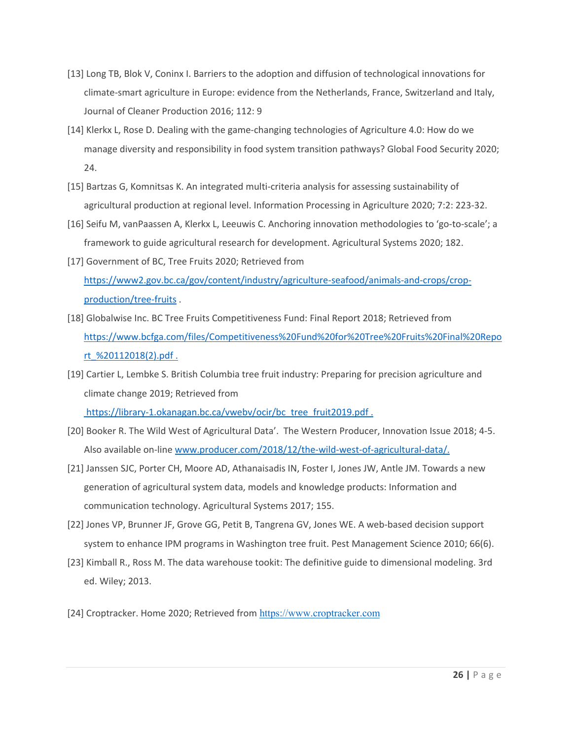- [13] Long TB, Blok V, Coninx I. Barriers to the adoption and diffusion of technological innovations for climate-smart agriculture in Europe: evidence from the Netherlands, France, Switzerland and Italy, Journal of Cleaner Production 2016; 112: 9
- [14] Klerkx L, Rose D. Dealing with the game-changing technologies of Agriculture 4.0: How do we manage diversity and responsibility in food system transition pathways? Global Food Security 2020; 24.
- [15] Bartzas G, Komnitsas K. An integrated multi-criteria analysis for assessing sustainability of agricultural production at regional level. Information Processing in Agriculture 2020; 7:2: 223-32.
- [16] Seifu M, vanPaassen A, Klerkx L, Leeuwis C. Anchoring innovation methodologies to 'go-to-scale'; a framework to guide agricultural research for development. Agricultural Systems 2020; 182.
- [17] Government of BC, Tree Fruits 2020; Retrieved from https://www2.gov.bc.ca/gov/content/industry/agriculture-seafood/animals-and-crops/cropproduction/tree-fruits .
- [18] Globalwise Inc. BC Tree Fruits Competitiveness Fund: Final Report 2018; Retrieved from https://www.bcfga.com/files/Competitiveness%20Fund%20for%20Tree%20Fruits%20Final%20Repo rt\_%20112018(2).pdf .
- [19] Cartier L, Lembke S. British Columbia tree fruit industry: Preparing for precision agriculture and climate change 2019; Retrieved from https://library-1.okanagan.bc.ca/vwebv/ocir/bc\_tree\_fruit2019.pdf.
- [20] Booker R. The Wild West of Agricultural Data'. The Western Producer, Innovation Issue 2018; 4-5. Also available on-line www.producer.com/2018/12/the-wild-west-of-agricultural-data/.
- [21] Janssen SJC, Porter CH, Moore AD, Athanaisadis IN, Foster I, Jones JW, Antle JM. Towards a new generation of agricultural system data, models and knowledge products: Information and communication technology. Agricultural Systems 2017; 155.
- [22] Jones VP, Brunner JF, Grove GG, Petit B, Tangrena GV, Jones WE. A web-based decision support system to enhance IPM programs in Washington tree fruit. Pest Management Science 2010; 66(6).
- [23] Kimball R., Ross M. The data warehouse tookit: The definitive guide to dimensional modeling. 3rd ed. Wiley; 2013.
- [24] Croptracker. Home 2020; Retrieved from https://www.croptracker.com